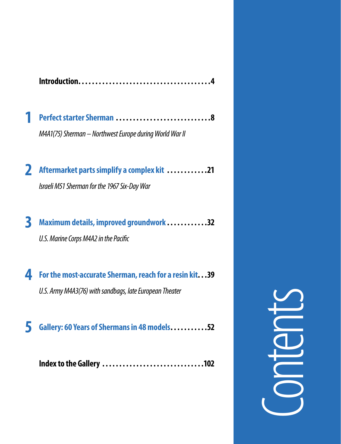|--|--|--|

| M4A1(75) Sherman - Northwest Europe during World War II |  |
|---------------------------------------------------------|--|

 **2 Aftermarket partssimplify <sup>a</sup> complex kit . . . . . . . . . . . 21**  *IsraeliM51Shermanfor the1967Six-DayWar*

**3 Maximumdetails, improved groundwork . . . . . . . . . . . 32** U.S. Marine Corps M4A2 in the Pacific

 **4 Forthemost-accurate Sherman,reach for <sup>a</sup> resin kit . . 39** *U.S. Army M4A3(76) with sandbags, late European Theater* 

 **5 Gallery: <sup>60</sup> Years ofShermansin 48models . . . . . . . . . . 52**

 **Indexto the Gallery . . . . . . . . . . . . . . . . . . . . . . . . . . . . . 102**

Let 10 **Ore faci bla consed eugiamc onsecte tet, quisi. Ummodolore tet ullam qui tie consequi estie velis numsan et lummy nibh eum num verit, si. Gue faci te feum vulla faccum-**Contents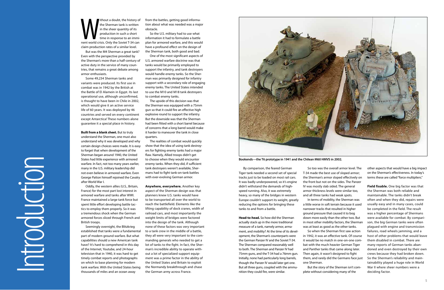The Sherman tank is written<br>
in the sheer quantity of its<br>
production in such a short<br>
time in response to an immi-<br>
nent world crisis. Only the Soviet T-34 can the Sherman tank is written in the sheer quantity of its production in such a short time in response to an immiclaim production rates of a similar level.

But was the M4 Sherman a great tank? Even with the perspective provided by the Sherman's more than a half-century of active duty in the service of many countries, that remains a great debate among armor enthusiasts.

Some 49,234 Sherman tanks and variants were produced. Its first use in combat was in 1942 by the British at the Battle of El Alamein in Egypt. Its last operational use, although unconfirmed, is thought to have been in Chile in 2002, which would give it an active service life of 60 years. It was deployed by 46 countries and served on every continent except Antarctica! These numbers alone guarantee it a special place in history.

# **Built from a blank sheet.** But to truly

understand the Sherman, one must also understand why it was developed and why certain design choices were made. It is easy to forget that when development of the Sherman began around 1940, the United States had little experience with armored warfare. In fact, not too many years earlier, many in the U.S. military leadership did not even believe in armored warfare. Even George Patton himself rejoined the Cavalry after World War I.

Oddly, the western allies (U.S., Britain, France) for the most part lost interest in armored warfare and tanks after WWI. France maintained a large tank force but spent little effort developing battle tactics to employ them properly. So it was a tremendous shock when the German armored forces sliced through French and British troops.

Seemingly overnight, the Blitzkrieg established that tanks were a fundamental part of modern ground warfare. But what capabilities should a new American tank have? It's hard to comprehend in this day of the Internet, Youtube, and 24-hour television that in 1940, it was hard to get timely combat reports and photographs on which to base planning for modern tank warfare. With the United States being thousands of miles and an ocean away

from the battles, getting good information about what was needed was a major obstacle.

So the U.S. military had to use what information it had to formulate a battle plan for armored warfare, and this would have a profound effect on the design of the Sherman tank, both good and bad.

One of the most significant aspects of U.S. armored warfare doctrine was that tanks would be primarily employed to support the infantry, and tank destroyers would handle enemy tanks. So the Sherman was primarily designed for infantry support with a secondary role of engaging enemy tanks. The United States intended to use the M10 and M18 tank destroyers to combat enemy tanks.

The upside of this decision was that the Sherman was equipped with a 75mm gun so that it could fire an effective high explosive round to support the infantry. But the downside was that the Sherman had been fitted with a short barrel because of concerns that a long barrel would make it harder to maneuver the tank in close quarters.

The realities of combat would quickly show that the idea of using tank destroyers for fighting enemy tanks had a major flaw. Namely, Allied troops didn't get to choose when they would encounter enemy tanks. When they did, if sufficient tank destroyers weren't available, Shermans had to fight tank-on-tank battles with ever-evolving German armor.

**Anywhere, everywhere.** Another key aspect of the Sherman design was that planners knew U.S. tanks would have to be transported all over the world to reach the battlefield. Elements like the lifting capability of dock cranes, width of railroad cars, and most importantly the weight limits of bridges were factored into the design of the tank. Although none of these factors was very important to a tank crew in the middle of a battle, they all were very important to the commanding generals who needed to get a lot of tanks to the fight. In fact, the Sherman's incredible ability to operate without a lot of specialized support equipment was a prime factor in the ability of the United States and Britain to exploit the Normandy breakthrough and chase the German army across France.

Introduction

By comparison, the feared German Tiger tank needed a second set of special tracks just to be loaded on most rail cars. It was badly underpowered, so it's engine didn't withstand the demands of highspeed running. Also, it was extremely heavy, so many of the bridges in western Europe couldn't support its weight, greatly reducing the options for bringing these tanks to and from a battle.

**Head-to-head.** So how did the Sherman actually stack up in the more traditional measure of a tank, namely armor, armament, and mobility? At the time of its development, the Sherman's counterparts were the German Panzer IV and the Soviet T-34. The Sherman compared reasonably well to both. The Sherman and Panzer IV had 75mm guns, and the T-34 had a 76mm gun. Initially, none had particularly long barrels, though the Panzer IV would later get one. But all three guns, coupled with the ammunition they could fire, were similar.

So too was the overall armor level. The T-34 made the best use of sloped armor; the Sherman's armor sloped effectively on the front but not on the sides. The Panzer IV was mostly slab sided. The general armor thickness levels were similar too, and all three tanks had weak spots. In terms of mobility, the Sherman was a little worse in soft terrain because it used narrower tracks that resulted in higher ground pressure that caused it to bog down more easily than the other two. But in most other mobility factors, the Sherman was at least as good as the other tanks. So when the Sherman first saw action in 1942, it was an effective tank. Of course it would be no match in one-on-one combat with the much heavier German Tiger and Panther tanks that came along later. Then again, it wasn't designed to fight them, and rarely did the Germans face just

one Sherman.

But the story of the Sherman isn't complete without considering many of the

other aspects that would have a big impact on the Sherman's effectiveness. In today's terms these are called "force multipliers."

**Field fixable.** One big factor was that the Sherman was both reliable and maintainable. The tanks didn't break often and when they did, repairs were usually easy and in many cases, could be completed in the field. The result was a higher percentage of Shermans were available for combat. By comparison, the big German tanks were often plagued with engine and transmission failures, road wheels jamming, and a host of other problems that would leave them disabled in combat. There are many reports of German tanks abandoned and even destroyed by their own crews because they had broken down. So the Sherman's reliability and maintainability played a huge role in World War II where sheer numbers were a deciding factor.



**Bookends—the T6 prototype in 1941 and the Chilean M60 HMVS in 2002.**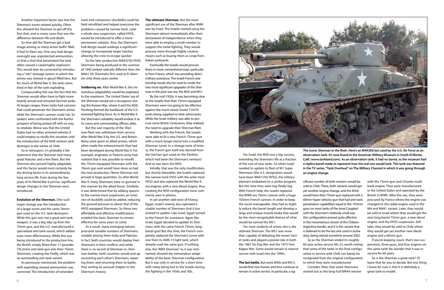Another important factor was that the Sherman's turret rotated quickly. Often this allowed the Sherman to get off the first shot, and in many cases that was the difference between life and death.

So how did the Sherman get a bad image among so many armor buffs? Well, it had its flaws too. One very bad design oversight was unprotected ammunition, so that a shot that penetrated the tank often caused a catastrophic explosion. This would later be corrected by introducing a "wet" stowage system in which the ammo was stowed in glycol-filled bins. But for much of World War II, the tank crews lived in fear of the tank exploding.

Compounding this was the fact that the Sherman would often have to fight moreheavily armed and armored German tanks. At longer ranges, these tanks had cannons that could penetrate the Sherman's armor, while the Sherman's cannon could not. So tankers were confronted with the fearful prospect of being picked off with no way to retaliate. Worse was that the United States had no other armored vehicles it could employ to rectify this situation until the introduction of the M36 Jackson tank destroyer in the winter of 1944.

So in retrospect, it's probably a fair statement that the Sherman had many great features and a few flaws. But the Sherman also proved highly adaptable, and this factor would most certainly be the driving factor in its extraordinarily long service life. Even during the few years of its World War II service, significant design changes to the Sherman were introduced.

**Evolution of the Sherman.** One such major change was the introduction of a larger turret and the same 76mm gun used on the U.S. tank destroyers. While this gun was not a great anti-tank weapon, it was a big step up from the 75mm gun, and the U.S. manufactured a specialized anti-tank round, which added even more effectiveness. While this was being introduced to the production line, the British simply fitted their 17 pounder (76.2mm) anti-tank gun into their 75mm Shermans, creating the Firefly, which was an outstanding anti-tank variant.

As previously mentioned, the problem with exploding stowed ammunition was corrected. The introduction of extended

track end connectors (duckbills) could be field retrofitted and helped overcome the problems caused by narrow track. Later a whole new suspension, called HVSS, would be introduced to offer a morepermanent solution. Also, the Sherman's hull design would undergo a significant change to incorporate larger hatches allowing the crew to escape quicker.

So the later production M4A3(76) HVSS Shermans being produced in the summer of 1945 looked radically different than the M4A1 DV Shermans first used at El Alamein only three years earlier.

**Soldiering on.** After World War II, this tremendous adaptability would be exploited to the maximum. The United States' use of the Sherman would see a resurgence during the Korean War, where it and the M26 Pershing formed the backbone of the U.S. armored fighting force. As in World War II, the Sherman's reliability would endear it to its crews and commanding officers alike.

But the vast majority of the Sherman fleet was withdrawn from service after World War II by the U.S. and Britain. Many were given to allied armies, which often made the enhancements that had been developed during World War II. For example, engineers in Patton's army had realized that it was possible to retrofit the 75mm-equipped Shermans with the 76mm gun and would have done so had the new-production 76mm Sherman not arrived in large quantities. So after World War II, many Shermans were re-gunned in this manner by the allied forces. Similarly, it was determined that by adding spacers to the narrow track suspension, an inner row of duckbills could be added, reducing the ground pressure to about that of the HVSS equipped Shermans. So these two affordable and effective modifications enabled the basic Sherman to remain effective for some years to come.

As a result, many emerging nations procured sizeable numbers of Shermans, notable among them India and Pakistan. In fact, both countries would deploy their Shermans in their conflicts and while there is no record of Sherman-vs.-Sherman battles, both countries would end up recovering each other's Shermans, repairing them, and returning them to battle, thus writing an unusual chapter in the Sherman's history.

## **The ultimate Sherman.** But the most

significant use of the Sherman after WWII was by Israel. The Israelis started using the Shermans almost immediately after their declaration of independence when they were able to employ a small number to support the initial fighting. They would procure more through highly creative means such as buying them as scrap from Italian junkyards.

Eventually the Israelis would procure them in more conventional ways, particularly from France, which was providing direct military assistance. The Israeli-French relationship would also be used to create the two most-significant upgrades of the Sherman in the post-war era, the M50 and M51.

By the mid-1950s, it was becoming clear to the Israelis that their 75mm-equipped Shermans were not going to be effective against the much newer Soviet T-54/55 tanks being supplied to their adversaries. While the Israel military was able to procure some British Centurions, they realized the need to upgrade their Sherman fleet.

Working with the French, the Israelis were able to fit a new French 75mm gun with a much longer barrel into a modified Sherman turret. In a strange twist of history, the French gun itself was derived from the German gun used on the Panther, which had been the Sherman's nemesis! And so was born the M50.

Initially, that was the only modification, but shortly thereafter, the Israelis replaced the narrow-track VVSS with the wide-track HVSS and also replaced the World War IIera engines with a new diesel engine, thus creating the M50 configuration most commonly seen in photos.

In yet another odd twist of history, Egypt, Israel's enemy, also operated a sizable number of Shermans that it too wished to update. Like Israel, Egypt turned to the French for assistance. Again like Israel, Egypt decided to update its Shermans with the same French 75mm, longbarrel gun! But this time, the French completely replaced the Sherman's turret with one from its AMX-13 light tank, which already used the same gun. If nothing else, the "AMX Sherman," as it was nicknamed, showed the tremendous adaptability of the basic Sherman configuration. But it was only in service for a short time with many being lost to the Israelis during the fighting in the 1950s and '60s.



For Israel, the M50 was a big success, extending the Sherman's life at a fraction of the cost of new tanks. So when Israel needed to update its fleet of M1 Super Shermans [the U.S. designation would have been M4A1(76) HVSS], the military planners embarked on a similar program. But this time they went big. Really big. With French help, the Israelis replaced the WWII-era 76mm cannon with a huge 105mm French cannon. In order to keep the recoil manageable, they had to slightly reduce the barrel length and develop a large and unique muzzle brake that would be the most recognizable feature of what would be named the M51.

For most students of armor, this is the ultimate Sherman. The M51 was more than capable of defeating the newer Soviet tanks and played a pivotal role in both the 1967 Six-Day War and the 1973 Yom Kippur War. Some would remain in reserve service with Israel into the 1990s.

**The last battle.** But some M50s and M51s would find new homes and thus continue to remain in active service. In particular, a sig-

nificant number of both versions would be sold to Chile. There, both variants would get yet another engine change, and the M50s would have their 75mm gun replaced with a 60mm hyper-velocity gun that had anti-tank penetration capabilities equal to the 105mm guns on most tanks of the time! Coupled with the Sherman's relatively small size, this configuration proved quite effective in the mountainous terrain of the Chilean-Argentine border, and it is this variant that is believed to be the last one used in active duty, being retired sometime around 2002. 60-year active service life, it's worth noting that some of the tanks in the final configuration in service with Chile can barely be recognized from the original configuration to which they were manufactured.

So as the Sherman ended its roughly Consider, then, that some Shermans

started out as the long-hull M4A4 version

with the 75mm gun and Chrysler multibank engine. They were manufactured in the United States and operated by the British in WWII. After the war, they were procured by France where the engine was changed to the radial engine used in the M4 and M4A1 variant. Later, they would be sold to Israel where they would get the new long-barrel 75mm gun, a new diesel engine, and the HVSS suspension. Still later, they would be sold to Chile where they would get yet another new diesel engine and a 60mm gun.

If you're keeping count, that's two suspensions, three guns, and four engines on the same tank! No wonder that it was in service for 60 years.

So is the Sherman a great tank? I'll leave that for you to decide. But one thing I know for sure is that it is definitely a great tank to model.

**The iconic Sherman in the flesh. Here's an M4A3E8 last used by the U.S. Air Force as an observation tank. It's now found in the American Military Museum in South El Monte, Calif. (www.tankland.com). As an observation tank, it had no barrel, so the museum had a replica barrel made to represent how the real one would look. This tank was featured in the TV series, "Tank Overhaul" on The Military Channel in which it was going through** 

**an engine change.**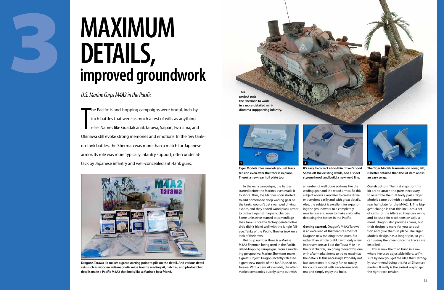In the early campaigns, the battles started before the Marines even made it to shore. Thus, the Marines soon started to add homemade deep wading gear so the tanks wouldn't get swamped driving ashore, and they added wood plank armor to protect against magnetic charges. Some units even started to camouflage their tanks since the factory-painted olive drab didn't blend well with the jungle foliage. Tanks of the Pacific Theater took on a look of their own.

Build-up number three is a Marine M4A2 Sherman being used in the Pacific island-hopping campaigns. From a modeling perspective, Marine Shermans make a great subject. Dragon recently released a great new model of the M4A2s used on Tarawa. With a new kit available, the aftermarket companies quickly came out with

a number of well done add-ons like the wading gear and the wood armor. So this subject allows a modeler to create different versions easily and with great details. Also, the subject is excellent for expanding the groundwork to a completely new terrain and even to make a vignette depicting the battles in the Pacific.

**Getting started.** Dragon's M4A2 Tarawa is an excellent kit that features most of Dragon's new molding techniques. But rather than simply build it with only a few improvements as I did the Tasca M4A1 in the first chapter, I'm going to load this one with aftermarket items to try to maximize the details. Is this necessary? Probably not. But sometimes it is really fun to totally trick out a model with easy-to-use addons and simply enjoy the build.



**Construction.** The first steps for this kit are to attach the parts necessary to assemble the hull body parts. Tiger Models came out with a replacement rear hull plate for the M4A2, 1. The biggest change is that this includes a set of cams for the idlers so they can swing and be used for track tension adjustment. Dragon also provides cams, but their design is more for you to position and glue them in place. The Tiger Models design has a longer pin, so you can swing the idlers once the tracks are installed.

This is now the third build in a row where I've used adjustable idlers, so I'm sure by now you get the idea that I strongly recommend doing this for all Sherman models. It really is the easiest way to get the right track tension.

T he Pacific island-hopping campaigns were brutal, inch-byinch battles that were as much a test of wills as anything else. Names like Guadalcanal, Tarawa, Saipan, Iwo Jima, and Okinawa still evoke strong memories and emotions. In the few tankon-tank battles, the Sherman was more than a match for Japanese armor. Its role was more typically infantry support, often under attack by Japanese infantry and well-concealed anti-tank guns.

3

# *U.S. Marine Corps M4A2 in the Pacific*

# **Maximum details, improved groundwork**



**Dragon's Tarawa kit makes a great starting point to pile on the detail. And various detail sets such as wooden anti-magnetic mine boards, wading kit, hatches, and photoetched details make a Pacific M4A2 that looks like a Marine's best friend.** 

**This project puts the Sherman to work in a more-detailed minidiorama suppporting infantry.**



**Shave off the existing welds, add a sheet styrene hood, and build a new weld line.**



**Tiger Models idler cam lets you set track tension even after the track is in place. There's a new rear hull plate too.**

**It's easy to correct a too-thin driver's hood.** 



**The Tiger Models transmission cover, left, is better detailed than the kit item and is an easy swap.**